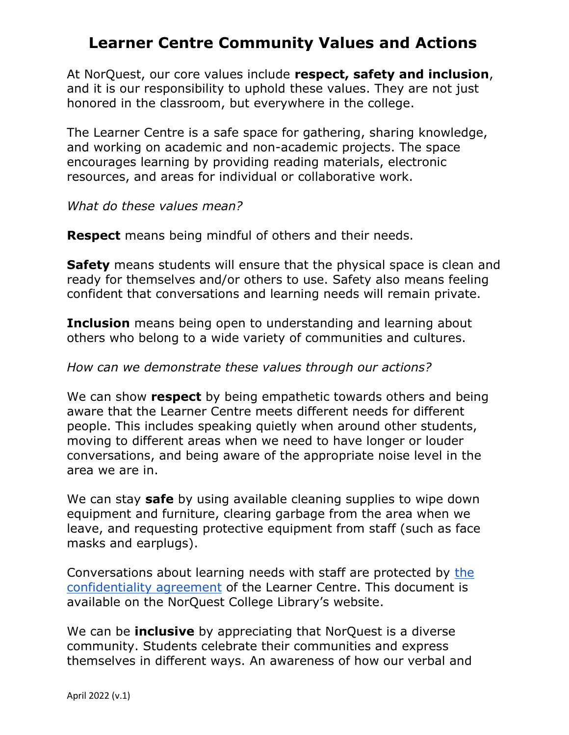## **Learner Centre Community Values and Actions**

At NorQuest, our core values include **respect, safety and inclusion**, and it is our responsibility to uphold these values. They are not just honored in the classroom, but everywhere in the college.

The Learner Centre is a safe space for gathering, sharing knowledge, and working on academic and non-academic projects. The space encourages learning by providing reading materials, electronic resources, and areas for individual or collaborative work.

*What do these values mean?*

**Respect** means being mindful of others and their needs.

**Safety** means students will ensure that the physical space is clean and ready for themselves and/or others to use. Safety also means feeling confident that conversations and learning needs will remain private.

**Inclusion** means being open to understanding and learning about others who belong to a wide variety of communities and cultures.

## *How can we demonstrate these values through our actions?*

We can show **respect** by being empathetic towards others and being aware that the Learner Centre meets different needs for different people. This includes speaking quietly when around other students, moving to different areas when we need to have longer or louder conversations, and being aware of the appropriate noise level in the area we are in.

We can stay **safe** by using available cleaning supplies to wipe down equipment and furniture, clearing garbage from the area when we leave, and requesting protective equipment from staff (such as face masks and earplugs).

Conversations about learning needs with staff are protected by [the](https://library.norquest.ca/Library/media/PDF/about/NQ-Library-Statement-on-Confidentiality-April-2022.pdf)  [confidentiality agreement](https://library.norquest.ca/Library/media/PDF/about/NQ-Library-Statement-on-Confidentiality-April-2022.pdf) of the Learner Centre. This document is available on the NorQuest College Library's website.

We can be **inclusive** by appreciating that NorQuest is a diverse community. Students celebrate their communities and express themselves in different ways. An awareness of how our verbal and